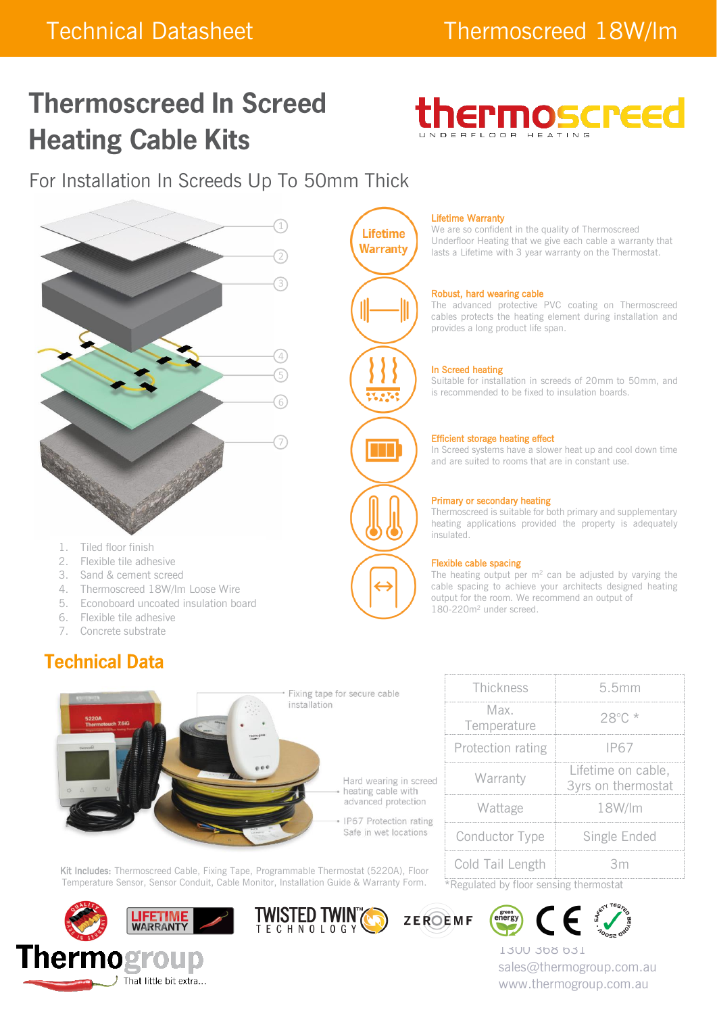# **Thermoscreed In Screed Heating Cable Kits**



For Installation In Screeds Up To 50mm Thick



- 
- 2. Flexible tile adhesive
- 3. Sand & cement screed
- 4. Thermoscreed 18W/lm Loose Wire
- 5. Econoboard uncoated insulation board
- 6. Flexible tile adhesive
- 7. Concrete substrate

# **Technical Data**



#### Lifetime Warranty

We are so confident in the quality of Thermoscreed Underfloor Heating that we give each cable a warranty that lasts a Lifetime with 3 year warranty on the Thermostat.

#### Robust, hard wearing cable

The advanced protective PVC coating on Thermoscreed cables protects the heating element during installation and provides a long product life span.

#### In Screed heating

Suitable for installation in screeds of 20mm to 50mm, and is recommended to be fixed to insulation boards.

#### Efficient storage heating effect

In Screed systems have a slower heat up and cool down time and are suited to rooms that are in constant use.

#### Primary or secondary heating

Thermoscreed is suitable for both primary and supplementary heating applications provided the property is adequately insulated.

#### Flexible cable spacing

The heating output per  $m^2$  can be adjusted by varying the cable spacing to achieve your architects designed heating output for the room. We recommend an output of 180-220m<sup>2</sup> under screed.



| Thickness                              | 5.5mm                                    |  |  |
|----------------------------------------|------------------------------------------|--|--|
| Max.<br>Temperature                    | $28^{\circ}$ C *                         |  |  |
| Protection rating                      | IP67                                     |  |  |
| Warranty                               | Lifetime on cable,<br>3yrs on thermostat |  |  |
| Wattage                                | 18W/lm                                   |  |  |
| Conductor Type                         | Single Ended                             |  |  |
| Cold Tail Length                       | 3m                                       |  |  |
| *Regulated by floor sensing thermostat |                                          |  |  |

Kit Includes: Thermoscreed Cable, Fixing Tape, Programmable Thermostat (5220A), Floor Temperature Sensor, Sensor Conduit, Cable Monitor, Installation Guide & Warranty Form.











1300 368 631 sales@thermogroup.com.au www.thermogroup.com.au